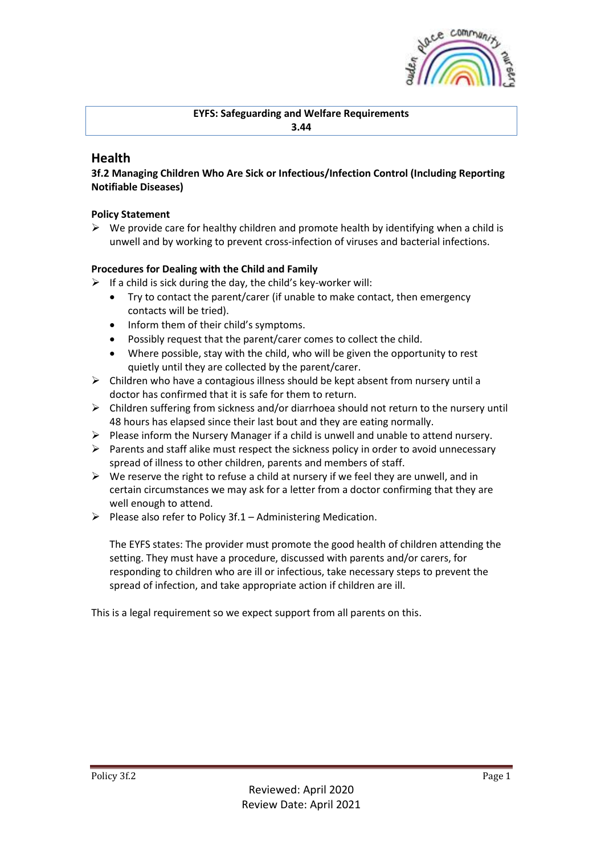

**EYFS: Safeguarding and Welfare Requirements 3.44**

# **Health**

**3f.2 Managing Children Who Are Sick or Infectious/Infection Control (Including Reporting Notifiable Diseases)**

# **Policy Statement**

 $\triangleright$  We provide care for healthy children and promote health by identifying when a child is unwell and by working to prevent cross-infection of viruses and bacterial infections.

# **Procedures for Dealing with the Child and Family**

- $\triangleright$  If a child is sick during the day, the child's key-worker will:
	- Try to contact the parent/carer (if unable to make contact, then emergency contacts will be tried).
	- Inform them of their child's symptoms.
	- Possibly request that the parent/carer comes to collect the child.
	- Where possible, stay with the child, who will be given the opportunity to rest quietly until they are collected by the parent/carer.
- $\triangleright$  Children who have a contagious illness should be kept absent from nursery until a doctor has confirmed that it is safe for them to return.
- ➢ Children suffering from sickness and/or diarrhoea should not return to the nursery until 48 hours has elapsed since their last bout and they are eating normally.
- $\triangleright$  Please inform the Nursery Manager if a child is unwell and unable to attend nursery.
- ➢ Parents and staff alike must respect the sickness policy in order to avoid unnecessary spread of illness to other children, parents and members of staff.
- $\triangleright$  We reserve the right to refuse a child at nursery if we feel they are unwell, and in certain circumstances we may ask for a letter from a doctor confirming that they are well enough to attend.
- $\triangleright$  Please also refer to Policy 3f.1 Administering Medication.

The EYFS states: The provider must promote the good health of children attending the setting. They must have a procedure, discussed with parents and/or carers, for responding to children who are ill or infectious, take necessary steps to prevent the spread of infection, and take appropriate action if children are ill.

This is a legal requirement so we expect support from all parents on this.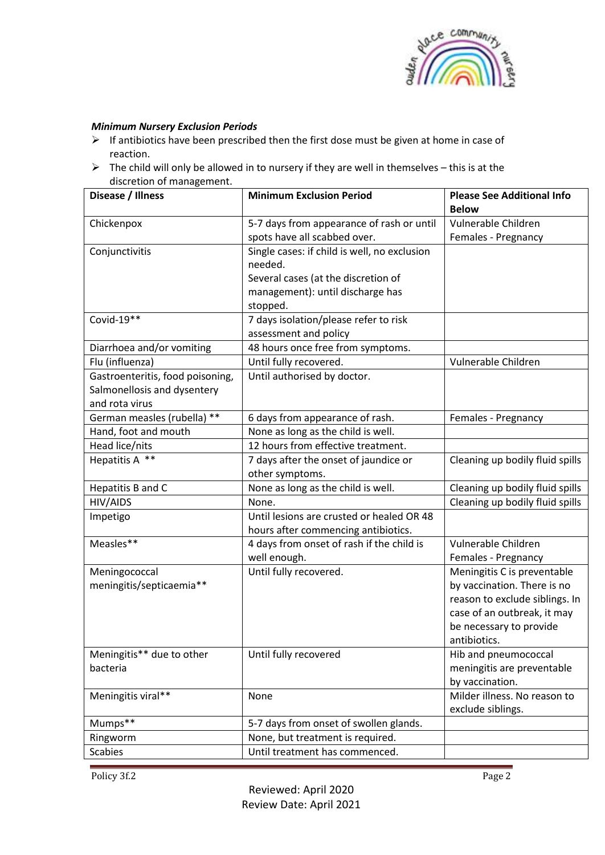

### *Minimum Nursery Exclusion Periods*

- ➢ If antibiotics have been prescribed then the first dose must be given at home in case of reaction.
- $\triangleright$  The child will only be allowed in to nursery if they are well in themselves this is at the discretion of management.

| Disease / Illness                | <b>Minimum Exclusion Period</b>              | <b>Please See Additional Info</b> |
|----------------------------------|----------------------------------------------|-----------------------------------|
|                                  |                                              | <b>Below</b>                      |
| Chickenpox                       | 5-7 days from appearance of rash or until    | Vulnerable Children               |
|                                  | spots have all scabbed over.                 | Females - Pregnancy               |
| Conjunctivitis                   | Single cases: if child is well, no exclusion |                                   |
|                                  | needed.                                      |                                   |
|                                  | Several cases (at the discretion of          |                                   |
|                                  | management): until discharge has             |                                   |
|                                  | stopped.                                     |                                   |
| Covid-19**                       | 7 days isolation/please refer to risk        |                                   |
|                                  | assessment and policy                        |                                   |
| Diarrhoea and/or vomiting        | 48 hours once free from symptoms.            |                                   |
| Flu (influenza)                  | Until fully recovered.                       | Vulnerable Children               |
| Gastroenteritis, food poisoning, | Until authorised by doctor.                  |                                   |
| Salmonellosis and dysentery      |                                              |                                   |
| and rota virus                   |                                              |                                   |
| German measles (rubella) **      | 6 days from appearance of rash.              | Females - Pregnancy               |
| Hand, foot and mouth             | None as long as the child is well.           |                                   |
| Head lice/nits                   | 12 hours from effective treatment.           |                                   |
| Hepatitis A **                   | 7 days after the onset of jaundice or        | Cleaning up bodily fluid spills   |
|                                  | other symptoms.                              |                                   |
| Hepatitis B and C                | None as long as the child is well.           | Cleaning up bodily fluid spills   |
| HIV/AIDS                         | None.                                        | Cleaning up bodily fluid spills   |
| Impetigo                         | Until lesions are crusted or healed OR 48    |                                   |
|                                  | hours after commencing antibiotics.          |                                   |
| Measles**                        | 4 days from onset of rash if the child is    | Vulnerable Children               |
|                                  | well enough.                                 | Females - Pregnancy               |
| Meningococcal                    | Until fully recovered.                       | Meningitis C is preventable       |
| meningitis/septicaemia**         |                                              | by vaccination. There is no       |
|                                  |                                              | reason to exclude siblings. In    |
|                                  |                                              | case of an outbreak, it may       |
|                                  |                                              | be necessary to provide           |
|                                  |                                              | antibiotics.                      |
| Meningitis** due to other        | Until fully recovered                        | Hib and pneumococcal              |
| bacteria                         |                                              | meningitis are preventable        |
|                                  |                                              | by vaccination.                   |
| Meningitis viral**               | None                                         | Milder illness. No reason to      |
|                                  |                                              | exclude siblings.                 |
| Mumps**                          | 5-7 days from onset of swollen glands.       |                                   |
| Ringworm                         | None, but treatment is required.             |                                   |
| <b>Scabies</b>                   | Until treatment has commenced.               |                                   |

Policy 3f.2 Page 2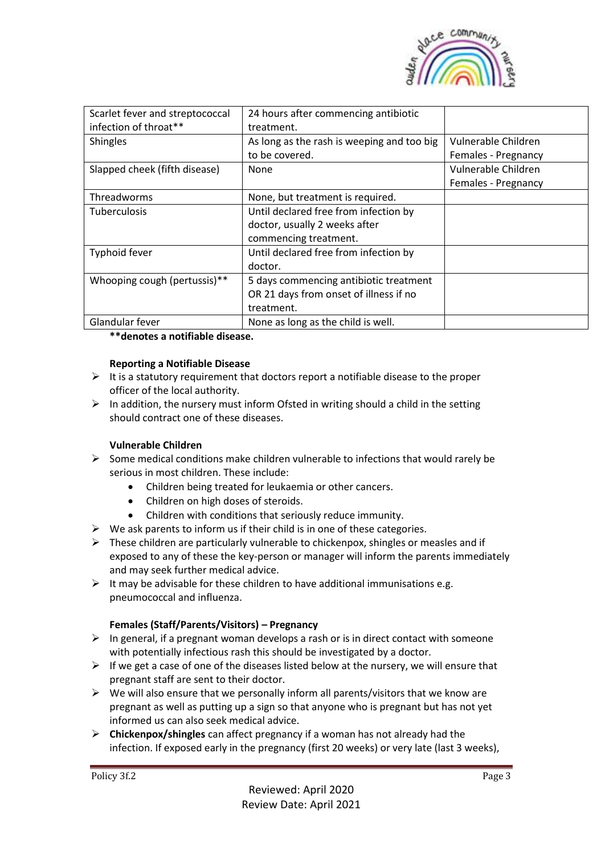

| Scarlet fever and streptococcal<br>infection of throat** | 24 hours after commencing antibiotic<br>treatment. |                     |
|----------------------------------------------------------|----------------------------------------------------|---------------------|
| <b>Shingles</b>                                          | As long as the rash is weeping and too big         | Vulnerable Children |
|                                                          | to be covered.                                     | Females - Pregnancy |
| Slapped cheek (fifth disease)                            | None                                               | Vulnerable Children |
|                                                          |                                                    | Females - Pregnancy |
| Threadworms                                              | None, but treatment is required.                   |                     |
| <b>Tuberculosis</b>                                      | Until declared free from infection by              |                     |
|                                                          | doctor, usually 2 weeks after                      |                     |
|                                                          | commencing treatment.                              |                     |
| Typhoid fever                                            | Until declared free from infection by              |                     |
|                                                          | doctor.                                            |                     |
| Whooping cough (pertussis)**                             | 5 days commencing antibiotic treatment             |                     |
|                                                          | OR 21 days from onset of illness if no             |                     |
|                                                          | treatment.                                         |                     |
| Glandular fever                                          | None as long as the child is well.                 |                     |

**\*\*denotes a notifiable disease.**

### **Reporting a Notifiable Disease**

- $\triangleright$  It is a statutory requirement that doctors report a notifiable disease to the proper officer of the local authority.
- $\triangleright$  In addition, the nursery must inform Ofsted in writing should a child in the setting should contract one of these diseases.

#### **Vulnerable Children**

- $\triangleright$  Some medical conditions make children vulnerable to infections that would rarely be serious in most children. These include:
	- Children being treated for leukaemia or other cancers.
	- Children on high doses of steroids.
	- Children with conditions that seriously reduce immunity.
- $\triangleright$  We ask parents to inform us if their child is in one of these categories.
- $\triangleright$  These children are particularly vulnerable to chickenpox, shingles or measles and if exposed to any of these the key-person or manager will inform the parents immediately and may seek further medical advice.
- $\triangleright$  It may be advisable for these children to have additional immunisations e.g. pneumococcal and influenza.

#### **Females (Staff/Parents/Visitors) – Pregnancy**

- $\triangleright$  In general, if a pregnant woman develops a rash or is in direct contact with someone with potentially infectious rash this should be investigated by a doctor.
- $\triangleright$  If we get a case of one of the diseases listed below at the nursery, we will ensure that pregnant staff are sent to their doctor.
- $\triangleright$  We will also ensure that we personally inform all parents/visitors that we know are pregnant as well as putting up a sign so that anyone who is pregnant but has not yet informed us can also seek medical advice.
- ➢ **Chickenpox/shingles** can affect pregnancy if a woman has not already had the infection. If exposed early in the pregnancy (first 20 weeks) or very late (last 3 weeks),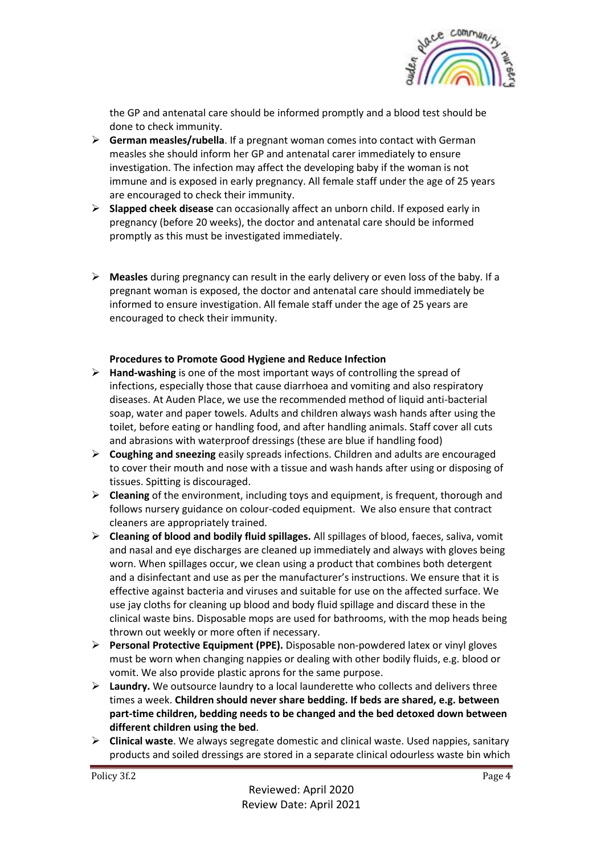

the GP and antenatal care should be informed promptly and a blood test should be done to check immunity.

- ➢ **German measles/rubella**. If a pregnant woman comes into contact with German measles she should inform her GP and antenatal carer immediately to ensure investigation. The infection may affect the developing baby if the woman is not immune and is exposed in early pregnancy. All female staff under the age of 25 years are encouraged to check their immunity.
- ➢ **Slapped cheek disease** can occasionally affect an unborn child. If exposed early in pregnancy (before 20 weeks), the doctor and antenatal care should be informed promptly as this must be investigated immediately.
- ➢ **Measles** during pregnancy can result in the early delivery or even loss of the baby. If a pregnant woman is exposed, the doctor and antenatal care should immediately be informed to ensure investigation. All female staff under the age of 25 years are encouraged to check their immunity.

### **Procedures to Promote Good Hygiene and Reduce Infection**

- ➢ **Hand-washing** is one of the most important ways of controlling the spread of infections, especially those that cause diarrhoea and vomiting and also respiratory diseases. At Auden Place, we use the recommended method of liquid anti-bacterial soap, water and paper towels. Adults and children always wash hands after using the toilet, before eating or handling food, and after handling animals. Staff cover all cuts and abrasions with waterproof dressings (these are blue if handling food)
- ➢ **Coughing and sneezing** easily spreads infections. Children and adults are encouraged to cover their mouth and nose with a tissue and wash hands after using or disposing of tissues. Spitting is discouraged.
- ➢ **Cleaning** of the environment, including toys and equipment, is frequent, thorough and follows nursery guidance on colour-coded equipment. We also ensure that contract cleaners are appropriately trained.
- ➢ **Cleaning of blood and bodily fluid spillages.** All spillages of blood, faeces, saliva, vomit and nasal and eye discharges are cleaned up immediately and always with gloves being worn. When spillages occur, we clean using a product that combines both detergent and a disinfectant and use as per the manufacturer's instructions. We ensure that it is effective against bacteria and viruses and suitable for use on the affected surface. We use jay cloths for cleaning up blood and body fluid spillage and discard these in the clinical waste bins. Disposable mops are used for bathrooms, with the mop heads being thrown out weekly or more often if necessary.
- ➢ **Personal Protective Equipment (PPE).** Disposable non-powdered latex or vinyl gloves must be worn when changing nappies or dealing with other bodily fluids, e.g. blood or vomit. We also provide plastic aprons for the same purpose.
- ➢ **Laundry.** We outsource laundry to a local launderette who collects and delivers three times a week. **Children should never share bedding. If beds are shared, e.g. between part-time children, bedding needs to be changed and the bed detoxed down between different children using the bed**.
- ➢ **Clinical waste**. We always segregate domestic and clinical waste. Used nappies, sanitary products and soiled dressings are stored in a separate clinical odourless waste bin which